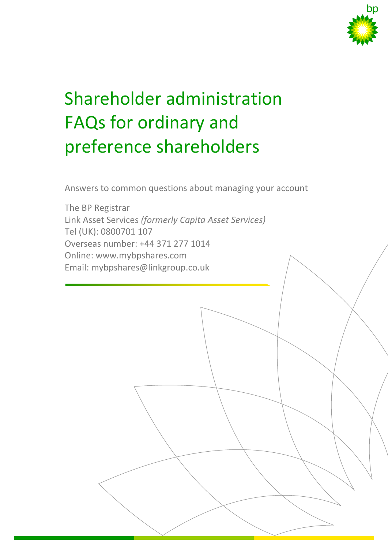

# Shareholder administration FAQs for ordinary and preference shareholders

Answers to common questions about managing your account

The BP Registrar Link Asset Services *(formerly Capita Asset Services)* Tel (UK): 0800701 107 Overseas number: +44 371 277 1014 Online: [www.mybpshares.com](http://www.mybpshares.com/) Email: mybpshares@linkgroup.co.uk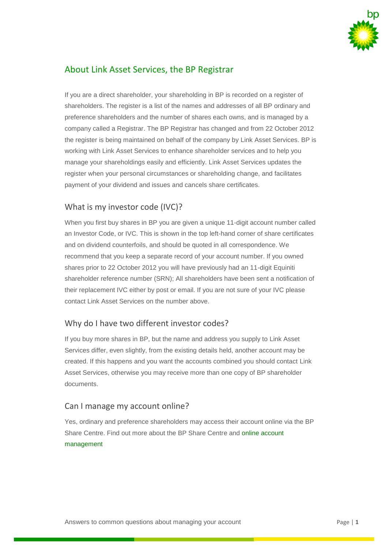

# About Link Asset Services, the BP Registrar

If you are a direct shareholder, your shareholding in BP is recorded on a register of shareholders. The register is a list of the names and addresses of all BP ordinary and preference shareholders and the number of shares each owns, and is managed by a company called a Registrar. The BP Registrar has changed and from 22 October 2012 the register is being maintained on behalf of the company by Link Asset Services. BP is working with Link Asset Services to enhance shareholder services and to help you manage your shareholdings easily and efficiently. Link Asset Services updates the register when your personal circumstances or shareholding change, and facilitates payment of your dividend and issues and cancels share certificates.

# What is my investor code (IVC)?

When you first buy shares in BP you are given a unique 11-digit account number called an Investor Code, or IVC. This is shown in the top left-hand corner of share certificates and on dividend counterfoils, and should be quoted in all correspondence. We recommend that you keep a separate record of your account number. If you owned shares prior to 22 October 2012 you will have previously had an 11-digit Equiniti shareholder reference number (SRN); All shareholders have been sent a notification of their replacement IVC either by post or email. If you are not sure of your IVC please contact Link Asset Services on the number above.

# Why do I have two different investor codes?

If you buy more shares in BP, but the name and address you supply to Link Asset Services differ, even slightly, from the existing details held, another account may be created. If this happens and you want the accounts combined you should contact Link Asset Services, otherwise you may receive more than one copy of BP shareholder documents.

#### Can I manage my account online?

Yes, ordinary and preference shareholders may access their account online via the BP Share Centre. Find out more about the BP Share Centre and [online account](http://www.bp.com/en/global/corporate/investors/information-for-shareholders/communication-and-edelivery.html)  [management](http://www.bp.com/en/global/corporate/investors/information-for-shareholders/communication-and-edelivery.html)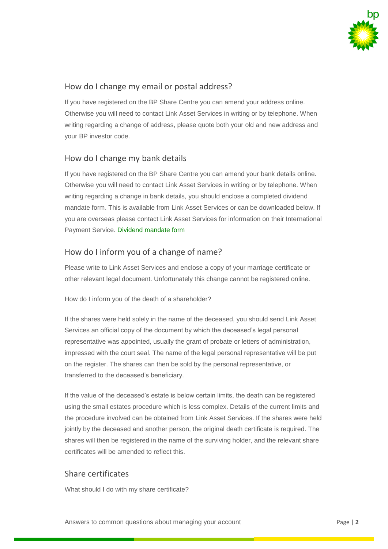

## How do I change my email or postal address?

If you have registered on the BP Share Centre you can amend your address online. Otherwise you will need to contact Link Asset Services in writing or by telephone. When writing regarding a change of address, please quote both your old and new address and your BP investor code.

#### How do I change my bank details

If you have registered on the BP Share Centre you can amend your bank details online. Otherwise you will need to contact Link Asset Services in writing or by telephone. When writing regarding a change in bank details, you should enclose a completed dividend mandate form. This is available from Link Asset Services or can be downloaded below. If you are overseas please contact Link Asset Services for information on their International Payment Service. [Dividend mandate form](http://www.bp.com/content/dam/bp/pdf/investors/bp-dividend-mandate-form.pdf)

# How do I inform you of a change of name?

Please write to Link Asset Services and enclose a copy of your marriage certificate or other relevant legal document. Unfortunately this change cannot be registered online.

How do I inform you of the death of a shareholder?

If the shares were held solely in the name of the deceased, you should send Link Asset Services an official copy of the document by which the deceased's legal personal representative was appointed, usually the grant of probate or letters of administration, impressed with the court seal. The name of the legal personal representative will be put on the register. The shares can then be sold by the personal representative, or transferred to the deceased's beneficiary.

If the value of the deceased's estate is below certain limits, the death can be registered using the small estates procedure which is less complex. Details of the current limits and the procedure involved can be obtained from Link Asset Services. If the shares were held jointly by the deceased and another person, the original death certificate is required. The shares will then be registered in the name of the surviving holder, and the relevant share certificates will be amended to reflect this.

#### Share certificates

What should I do with my share certificate?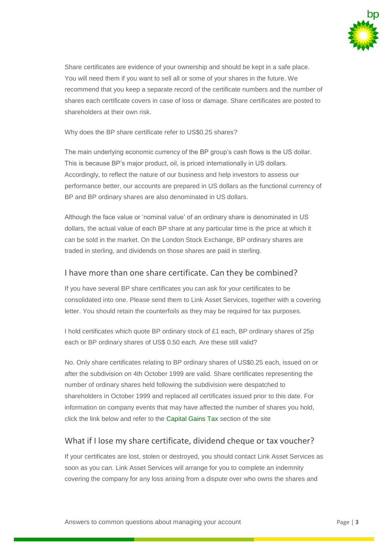

Share certificates are evidence of your ownership and should be kept in a safe place. You will need them if you want to sell all or some of your shares in the future. We recommend that you keep a separate record of the certificate numbers and the number of shares each certificate covers in case of loss or damage. Share certificates are posted to shareholders at their own risk.

Why does the BP share certificate refer to US\$0.25 shares?

The main underlying economic currency of the BP group's cash flows is the US dollar. This is because BP's major product, oil, is priced internationally in US dollars. Accordingly, to reflect the nature of our business and help investors to assess our performance better, our accounts are prepared in US dollars as the functional currency of BP and BP ordinary shares are also denominated in US dollars.

Although the face value or 'nominal value' of an ordinary share is denominated in US dollars, the actual value of each BP share at any particular time is the price at which it can be sold in the market. On the London Stock Exchange, BP ordinary shares are traded in sterling, and dividends on those shares are paid in sterling.

#### I have more than one share certificate. Can they be combined?

If you have several BP share certificates you can ask for your certificates to be consolidated into one. Please send them to Link Asset Services, together with a covering letter. You should retain the counterfoils as they may be required for tax purposes.

I hold certificates which quote BP ordinary stock of £1 each, BP ordinary shares of 25p each or BP ordinary shares of US\$ 0.50 each. Are these still valid?

No. Only share certificates relating to BP ordinary shares of US\$0.25 each, issued on or after the subdivision on 4th October 1999 are valid. Share certificates representing the number of ordinary shares held following the subdivision were despatched to shareholders in October 1999 and replaced all certificates issued prior to this date. For information on company events that may have affected the number of shares you hold, click the link below and refer to the [Capital Gains Tax](http://www.bp.com/en/global/corporate/investors/information-for-shareholders/dividends/taxation.html) section of the site

# What if I lose my share certificate, dividend cheque or tax voucher?

If your certificates are lost, stolen or destroyed, you should contact Link Asset Services as soon as you can. Link Asset Services will arrange for you to complete an indemnity covering the company for any loss arising from a dispute over who owns the shares and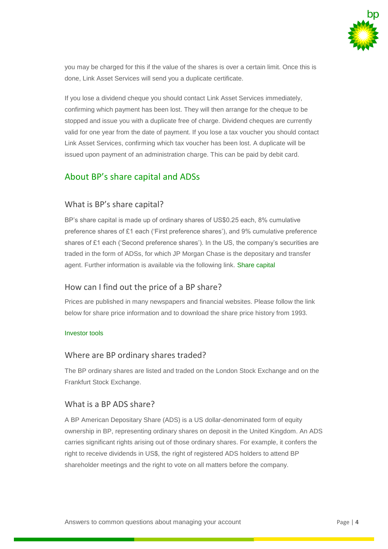

you may be charged for this if the value of the shares is over a certain limit. Once this is done, Link Asset Services will send you a duplicate certificate.

If you lose a dividend cheque you should contact Link Asset Services immediately, confirming which payment has been lost. They will then arrange for the cheque to be stopped and issue you with a duplicate free of charge. Dividend cheques are currently valid for one year from the date of payment. If you lose a tax voucher you should contact Link Asset Services, confirming which tax voucher has been lost. A duplicate will be issued upon payment of an administration charge. This can be paid by debit card.

# About BP's share capital and ADSs

#### What is BP's share capital?

BP's share capital is made up of ordinary shares of US\$0.25 each, 8% cumulative preference shares of £1 each ('First preference shares'), and 9% cumulative preference shares of £1 each ('Second preference shares'). In the US, the company's securities are traded in the form of ADSs, for which JP Morgan Chase is the depositary and transfer agent. Further information is available via the following link. [Share capital](http://www.bp.com/en/global/corporate/investors/information-for-shareholders/share-capital.html)

# How can I find out the price of a BP share?

Prices are published in many newspapers and financial websites. Please follow the link below for share price information and to download the share price history from 1993.

#### [Investor tools](http://tools.bp.com/)

#### Where are BP ordinary shares traded?

The BP ordinary shares are listed and traded on the London Stock Exchange and on the Frankfurt Stock Exchange.

#### What is a BP ADS share?

A BP American Depositary Share (ADS) is a US dollar-denominated form of equity ownership in BP, representing ordinary shares on deposit in the United Kingdom. An ADS carries significant rights arising out of those ordinary shares. For example, it confers the right to receive dividends in US\$, the right of registered ADS holders to attend BP shareholder meetings and the right to vote on all matters before the company.